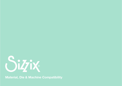

**Material, Die & Machine Compatibility**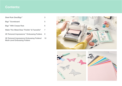#### **Contents:**

| Steel Rule Dies/Bigz <sup>™</sup>                      |   |
|--------------------------------------------------------|---|
| Bigz <sup>™</sup> Scoreboard                           | 5 |
| Bigz <sup>™</sup> With Crease Rule                     | 6 |
| Wafer Thin Metal Dies/ Thinlits® & Framelits®          | 7 |
| 2D Textured Impressions <sup>™</sup> Embossing Folders | 9 |
|                                                        |   |

3D Textured Impressions Embossing Folders/ Multi-Level Embossing Folders 10



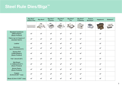# **Steel Rule Dies/Bigz™**

|                                                                | <b>Big Shot™</b><br><b>Switch Plus</b> | <b>Big Shot®</b>          | <b>Big Shot™</b><br><b>Express</b> | <b>Big Shot®</b><br><b>Plus</b> | <b>Big Shot®</b><br>Pro | <b>Big Shot®</b><br>Foldaway | <b>Texture</b><br><b>Boutique™</b> | Vagabond             | <b>Sidekick®</b> |
|----------------------------------------------------------------|----------------------------------------|---------------------------|------------------------------------|---------------------------------|-------------------------|------------------------------|------------------------------------|----------------------|------------------|
|                                                                |                                        |                           |                                    |                                 |                         |                              |                                    |                      |                  |
| <b>Standard Cardstock</b><br>(58lb/216gsm)<br>(Sizzix Product) |                                        | $\boldsymbol{\checkmark}$ |                                    | $\boldsymbol{\mathscr{I}}$      |                         | $\boldsymbol{\mathscr{I}}$   |                                    |                      |                  |
| Fabric (up to 8 layers of<br>standard fabric)                  | $\blacktriangledown$                   | $\blacktriangleright$     | $\blacktriangledown$               | $\overline{\mathscr{L}}$        | $\blacktriangledown$    | $\blacktriangledown$         |                                    | $\checkmark$         |                  |
| Leather                                                        | $\checkmark$                           | $\checkmark$              | $\checkmark$                       | $\checkmark$                    | $\checkmark$            | $\checkmark$                 |                                    | $\checkmark$         |                  |
| Aluminum<br>(up to 0.4mm/0.015")                               | $\checkmark$                           | $\blacktriangledown$      | $\checkmark$                       | $\overline{\mathscr{L}}$        | $\blacktriangledown$    | $\blacktriangledown$         |                                    | $\checkmark$         |                  |
| <b>Texture Roll</b><br>(185lb/300gsm)<br>(Sizzix Product)      | $\blacktriangledown$                   | $\blacktriangledown$      | $\blacktriangledown$               | $\checkmark$                    | $\blacktriangledown$    | $\overline{\mathscr{L}}$     |                                    | $\blacktriangledown$ |                  |
| Felt 1.6mm/0.06")                                              | $\checkmark$                           | $\checkmark$              | $\checkmark$                       | $\checkmark$                    | $\checkmark$            | $\checkmark$                 |                                    | $\checkmark$         |                  |
| <b>Mat Board</b><br>(1.1938mm/0.047")<br>(Sizzix Product)      | $\checkmark$                           | $\blacktriangledown$      | $\blacktriangleright$              | $\blacktriangledown$            | $\blacktriangleright$   | $\blacktriangledown$         |                                    | $\checkmark$         |                  |
| <b>Shrink Plastic</b><br>(Sizzix Product)                      | $\blacktriangledown$                   | $\blacktriangleright$     | $\blacktriangledown$               | $\blacktriangledown$            | $\blacktriangledown$    | $\blacktriangledown$         |                                    | $\checkmark$         |                  |
| Copper<br>$(0.2$ mm/0.007" max)                                | $\checkmark$                           | $\blacktriangledown$      | $\checkmark$                       | $\blacktriangledown$            | $\checkmark$            | $\checkmark$                 |                                    | $\checkmark$         |                  |
| Brass (0.2mm /0.007" max)                                      | $\checkmark$                           | $\blacktriangledown$      | $\blacktriangleright$              | $\blacktriangledown$            |                         | $\blacktriangledown$         |                                    | $\blacktriangledown$ |                  |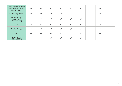| <b>Chipboard/Mixed Media</b><br>Board (399lb/1079gsm)<br>(Sizzix Product) | $\checkmark$         | $\blacktriangledown$     | $\checkmark$         | $\blacktriangledown$  | $\blacktriangledown$  | $\blacktriangledown$  | $\checkmark$         |
|---------------------------------------------------------------------------|----------------------|--------------------------|----------------------|-----------------------|-----------------------|-----------------------|----------------------|
| <b>Flexible Magnet Sheet</b>                                              | $\blacktriangledown$ | $\checkmark$             | $\checkmark$         | $\blacktriangledown$  | $\blacktriangledown$  | $\checkmark$          | $\checkmark$         |
| <b>Sculpting Foam</b><br>$(0.8$ mm/0.03")<br>(Sizzix Product)             | $\blacktriangledown$ | $\checkmark$             | $\blacktriangledown$ | $\blacktriangleright$ | J                     | $\blacktriangleright$ |                      |
| <b>Cork</b>                                                               | $\blacktriangledown$ | $\blacktriangledown$     | $\checkmark$         | $\blacktriangledown$  | $\blacktriangleright$ | $\blacktriangledown$  | $\checkmark$         |
| Pop Up Sponge                                                             |                      | $\checkmark$             | $\checkmark$         | $\blacktriangledown$  | $\blacktriangledown$  | $\checkmark$          | $\checkmark$         |
| Vinyl                                                                     | $\blacktriangledown$ | $\overline{\mathscr{L}}$ | $\blacktriangledown$ | $\blacktriangledown$  | $\checkmark$          | $\blacktriangledown$  | $\blacktriangledown$ |
| <b>Wood Veneer</b><br>$(0.6$ mm/0.023")                                   |                      | $\checkmark$             | $\checkmark$         | $\blacktriangledown$  |                       | $\checkmark$          | $\checkmark$         |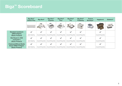# **Bigz™ Scoreboard**

|                                                                         | <b>Big Shot™</b><br><b>Switch Plus</b> | <b>Big Shot®</b>                              | <b>Big Shot™</b><br><b>Express</b>            | Big Shot <sup>®</sup><br><b>Plus</b>          | Big Shot <sup>®</sup><br><b>Pro</b>           | <b>Big Shot®</b><br>Foldaway                  | <b>Texture</b><br><b>Boutique™</b> | Vagabond                                      | <b>Sidekick®</b> |
|-------------------------------------------------------------------------|----------------------------------------|-----------------------------------------------|-----------------------------------------------|-----------------------------------------------|-----------------------------------------------|-----------------------------------------------|------------------------------------|-----------------------------------------------|------------------|
|                                                                         |                                        |                                               |                                               |                                               |                                               |                                               |                                    |                                               |                  |
| <b>Standard Cardstock</b><br>(58lb/216gsm)<br>(Sizzix Product)          | Always Requires a<br>Switch Crease Pad | Can sometimes require<br>a Premium Crease Pad | Can sometimes require<br>a Premium Crease Pad | Can sometimes require<br>a Premium Crease Pad | Can sometimes require<br>a Premium Crease Pad | Can sometimes require<br>a Premium Crease Pad |                                    | Can sometimes require<br>a Premium Crease Pad |                  |
| <b>Mat Board (1.1938)</b><br>mm/0.047"<br>(Sizzix Product)              | Always Requires a<br>Switch Crease Pad | Can sometimes require<br>a Premium Crease Pad | Can sometimes require<br>a Premium Crease Pad | Can sometimes require<br>a Premium Crease Pad | Can sometimes require<br>a Premium Crease Pad | Can sometimes require<br>a Premium Crease Pad |                                    | Can sometimes require<br>a Premium Crease Pad |                  |
| <b>Chipboard/Mixed Media</b><br>Board 399lb/1079gsm<br>(Sizzix Product) | Always Requires a<br>Switch Crease Pad | Can sometimes require<br>a Premium Crease Pad | Can sometimes require<br>a Premium Crease Pad | Can sometimes require<br>a Premium Crease Pad | Can sometimes require<br>a Premium Crease Pad | Can sometimes require<br>a Premium Crease Pad |                                    | Can sometimes require<br>a Premium Crease Pad |                  |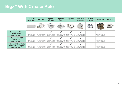## **Bigz™ With Crease Rule**

|                                                                         | <b>Big Shot™</b><br><b>Switch Plus</b> | <b>Big Shot®</b>                              | <b>Big Shot™</b><br><b>Express</b>            | Big Shot <sup>®</sup><br><b>Plus</b>          | Big Shot <sup>®</sup><br><b>Pro</b>           | <b>Big Shot®</b><br>Foldaway                  | <b>Texture</b><br><b>Boutique™</b> | Vagabond                                      | <b>Sidekick®</b> |
|-------------------------------------------------------------------------|----------------------------------------|-----------------------------------------------|-----------------------------------------------|-----------------------------------------------|-----------------------------------------------|-----------------------------------------------|------------------------------------|-----------------------------------------------|------------------|
|                                                                         |                                        |                                               |                                               |                                               |                                               |                                               |                                    |                                               |                  |
| <b>Standard Cardstock</b><br>(58lb/216gsm)<br>(Sizzix Product)          | Always Requires a<br>Switch Crease Pad | Can sometimes require<br>a Premium Crease Pad | Can sometimes require<br>a Premium Crease Pad | Can sometimes require<br>a Premium Crease Pad | Can sometimes require<br>a Premium Crease Pad | Can sometimes require<br>a Premium Crease Pad |                                    | Can sometimes require<br>a Premium Crease Pad |                  |
| <b>Mat Board (1.1938)</b><br>mm/0.047"<br>(Sizzix Product)              | Always Requires a<br>Switch Crease Pad | Can sometimes require<br>a Premium Crease Pad | Can sometimes require<br>a Premium Crease Pad | Can sometimes require<br>a Premium Crease Pad | Can sometimes require<br>a Premium Crease Pad | Can sometimes require<br>a Premium Crease Pad |                                    | Can sometimes require<br>a Premium Crease Pad |                  |
| <b>Chipboard/Mixed Media</b><br>Board 399lb/1079gsm<br>(Sizzix Product) | Always Requires a<br>Switch Crease Pad | Can sometimes require<br>a Premium Crease Pad | Can sometimes require<br>a Premium Crease Pad | Can sometimes require<br>a Premium Crease Pad | Can sometimes require<br>a Premium Crease Pad | Can sometimes require<br>a Premium Crease Pad |                                    | Can sometimes require<br>a Premium Crease Pad |                  |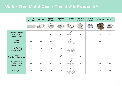## **Wafer Thin Metal Dies / Thinlits® & Framelits®**

|                                                                | <b>Big Shot™</b><br><b>Switch Plus</b> | <b>Big Shot®</b> | <b>Big Shot™</b><br><b>Express</b> | <b>Big Shot®</b><br><b>Plus</b> | <b>Big Shot®</b><br>Pro                                                                                                            | <b>Big Shot®</b><br>Foldaway | <b>Texture</b><br><b>Boutique™</b> | Vagabond | <b>Sidekick®</b> |
|----------------------------------------------------------------|----------------------------------------|------------------|------------------------------------|---------------------------------|------------------------------------------------------------------------------------------------------------------------------------|------------------------------|------------------------------------|----------|------------------|
|                                                                |                                        |                  |                                    |                                 |                                                                                                                                    |                              |                                    |          |                  |
| <b>Standard Cardstock</b><br>(58lb/216gsm)<br>(Sizzix Product) |                                        |                  |                                    |                                 | Can require Big Shot Pro -<br>Solo Platform, Shim, Thin<br>Die Adaptor and additional<br>Cutting Pad                               |                              |                                    |          |                  |
| Fabric<br>(1 Layer)                                            |                                        |                  |                                    |                                 | $\boldsymbol{\mathscr{L}}$<br>Can require Big Shot Pro -<br>Solo Platform, Shim, Thin<br>Die Adaptor and additional<br>Cutting Pad |                              |                                    |          |                  |
| <b>Texture Roll</b><br>(185lb/300gsm)<br>(Sizzix Product)      |                                        |                  |                                    |                                 | Can require Big Shot Pro -<br>Solo Platform, Shim, Thin<br>Die Adaptor and additional<br>Cutting Pad                               |                              |                                    |          |                  |
| Felt<br>(must be wool based felt)                              |                                        |                  |                                    | $\blacktriangleright$           | Can require Big Shot Pro -<br>Solo Platform, Shim, Thin<br>Die Adaptor and additional<br>Cutting Pad                               | $\blacktriangleright$        |                                    |          |                  |
| <b>Sculpting Foam</b><br>$(0.8$ mm/0.031")<br>(Sizzix Product) |                                        |                  |                                    |                                 | Can require Big Shot Pro -<br>Solo Platform, Shim, Thin<br>Die Adaptor and additional<br>Cutting Pad                               |                              |                                    |          |                  |
| <b>Masking Film</b>                                            |                                        |                  |                                    |                                 | Can require Big Shot Pro -<br>Solo Platform, Shim, Thin<br>Die Adaptor and additional<br>Cutting Pad                               |                              |                                    |          |                  |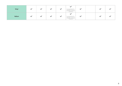| <b>Vinyl</b> |  | ື | Can require Big Shot Pro -<br>Solo Platform, Shim, Thin<br>Die Adaptor and additional<br>Cutting Pad | $\overline{\phantom{a}}$ |  |  |
|--------------|--|---|------------------------------------------------------------------------------------------------------|--------------------------|--|--|
| Vellum       |  |   | Can require Big Shot Pro -<br>Solo Platform, Shim, Thin<br>Die Adaptor and additional<br>Cutting Pad | <b>SALE</b>              |  |  |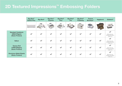## **2D Textured Impressions™ Embossing Folders**

|                                                                | <b>Big Shot™</b><br><b>Switch Plus</b> | <b>Big Shot®</b>      | <b>Big Shot™</b><br><b>Express</b> | Big Shot <sup>®</sup><br><b>Plus</b> | <b>Big Shot®</b><br><b>Pro</b> | <b>Big Shot®</b><br>Foldaway | <b>Texture</b><br><b>Boutique™</b> | Vagabond     | <b>Sidekick®</b>                                                                       |
|----------------------------------------------------------------|----------------------------------------|-----------------------|------------------------------------|--------------------------------------|--------------------------------|------------------------------|------------------------------------|--------------|----------------------------------------------------------------------------------------|
|                                                                |                                        |                       |                                    |                                      |                                |                              |                                    |              |                                                                                        |
| <b>Standard Cardstock</b><br>(58lb/216gsm)<br>(Sizzix Product) | $\blacktriangledown$                   | $\blacktriangleright$ | $\blacktriangledown$               | $\blacktriangledown$                 | $\blacktriangledown$           |                              |                                    |              | $\overline{\phantom{a}}$<br>Small sizes only:<br>Borders and Folders<br>under $2.5"$ ) |
| Vellum                                                         | $\overline{\phantom{a}}$               |                       |                                    |                                      | $\blacktriangleright$          |                              |                                    |              | $\blacktriangledown$<br>Small sizes only:<br>Borders and Folders<br>under $2.5"$ )     |
| <b>Texture Roll</b><br>(185lb/300gsm)<br>(Sizzix Product)      | $\checkmark$                           |                       | $\blacktriangledown$               | $\overline{\phantom{a}}$             |                                |                              |                                    | $\checkmark$ | $\blacktriangledown$<br>Small sizes only:<br>Borders and Folders<br>under $2.5"$ )     |
| <b>Aluminium Metal Sheets</b><br>(Sizzix Product)              | $\checkmark$                           |                       | $\checkmark$                       | $\checkmark$                         | $\checkmark$                   |                              |                                    | $\checkmark$ | $\checkmark$<br>Small sizes only:<br>Borders and Folders<br>under $2.5"$               |